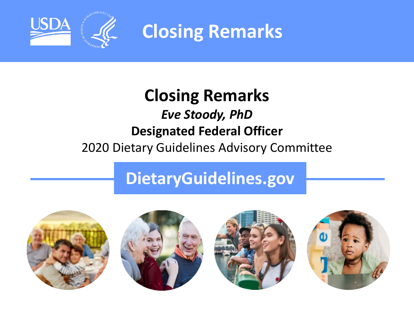

**Closing Remarks**

### **Closing Remarks** *Eve Stoody, PhD* **Designated Federal Officer**  2020 Dietary Guidelines Advisory Committee

## **DietaryGuidelines.gov**

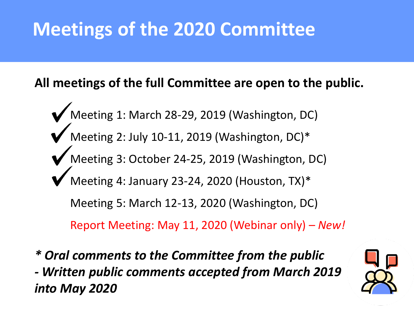# **Meetings of the 2020 Committee**

### **All meetings of the full Committee are open to the public.**

- Meeting 1: March 28-29, 2019 (Washington, DC) Meeting 2: July 10-11, 2019 (Washington, DC)\* Meeting 3: October 24-25, 2019 (Washington, DC) Meeting 4: January 23-24, 2020 (Houston, TX)\* Meeting 5: March 12-13, 2020 (Washington, DC) Report Meeting: May 11, 2020 (Webinar only) – *New!*
- *\* Oral comments to the Committee from the public - Written public comments accepted from March 2019 into May 2020*

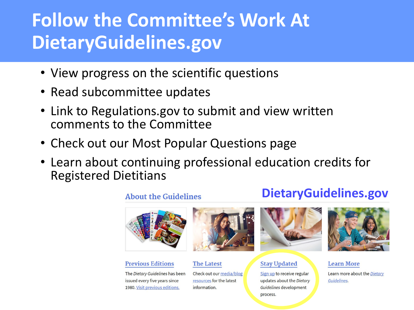# **Follow the Committee's Work At DietaryGuidelines.gov**

- View progress on the scientific questions
- Read subcommittee updates
- Link to Regulations.gov to submit and view written comments to the Committee
- Check out our Most Popular Questions page
- Learn about continuing professional education credits for Registered Dietitians



#### **Previous Editions**

The Dietary Guidelines has been issued every five years since 1980. Visit previous editions.



#### **The Latest**

Check out our media/blog resources for the latest information.



#### **Stay Updated**

Sign up to receive regular updates about the Dietary Guidelines development process.



#### **Learn More**

Learn more about the Dietary Guidelines.

#### **About the Guidelines**

### **DietaryGuidelines.gov**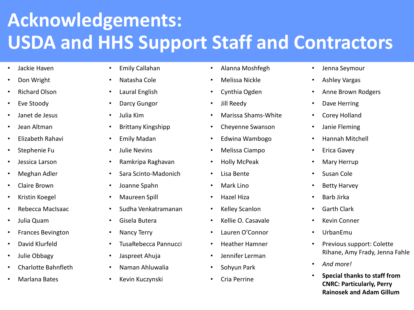# **Acknowledgements: USDA and HHS Support Staff and Contractors**

- Jackie Haven
- Don Wright
- Richard Olson
- Eve Stoody
- Janet de Jesus
- Jean Altman
- Elizabeth Rahavi
- Stephenie Fu
- Jessica Larson
- Meghan Adler
- Claire Brown
- Kristin Koegel
- Rebecca MacIsaac
- Julia Quam
- Frances Bevington
- David Klurfeld
- Julie Obbagy
- Charlotte Bahnfleth
- Marlana Bates
- Emily Callahan
- Natasha Cole
- Laural English
- Darcy Gungor
- Julia Kim
- Brittany Kingshipp
- Emily Madan
- Julie Nevins
- Ramkripa Raghavan
- Sara Scinto-Madonich
- Joanne Spahn
- Maureen Spill
- Sudha Venkatramanan
- Gisela Butera
- Nancy Terry
- TusaRebecca Pannucci
- Jaspreet Ahuja
- Naman Ahluwalia
- Kevin Kuczynski
- Alanna Moshfegh
- Melissa Nickle
- Cynthia Ogden
- Jill Reedy
- Marissa Shams-White
- Cheyenne Swanson
- Edwina Wambogo
- Melissa Ciampo
- Holly McPeak
- Lisa Bente
- Mark Lino
- Hazel Hiza
- Kelley Scanlon
- Kellie O. Casavale
- Lauren O'Connor
- Heather Hamner
- Jennifer Lerman
- Sohyun Park
- Cria Perrine
- Jenna Seymour
- Ashley Vargas
- Anne Brown Rodgers
- Dave Herring
- Corey Holland
- Janie Fleming
- Hannah Mitchell
- Erica Gavey
- Mary Herrup
- Susan Cole
- Betty Harvey
- Barb Jirka
- Garth Clark
- Kevin Conner
- UrbanEmu
- Previous support: Colette Rihane, Amy Frady, Jenna Fahle
- *And more!*
- **Special thanks to staff from CNRC: Particularly, Perry Rainosek and Adam Gillum**